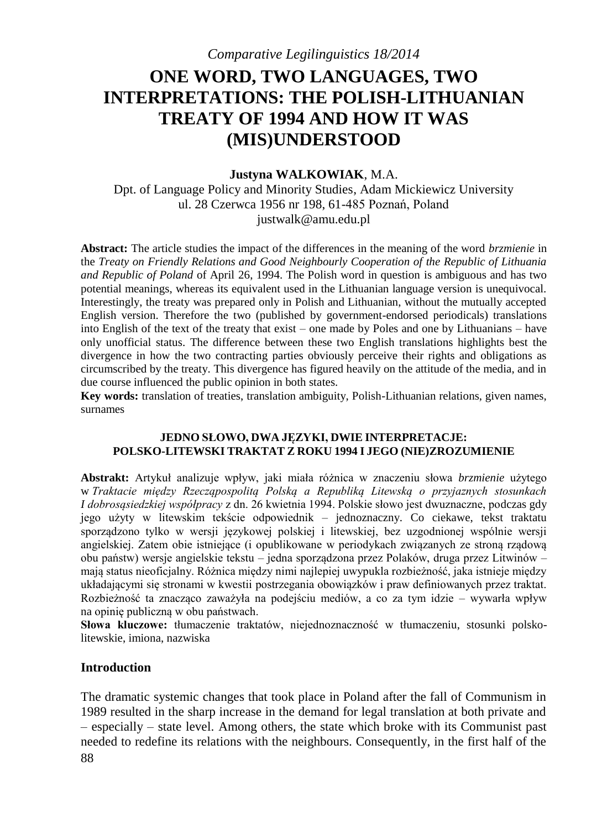# **ONE WORD, TWO LANGUAGES, TWO INTERPRETATIONS: THE POLISH-LITHUANIAN TREATY OF 1994 AND HOW IT WAS (MIS)UNDERSTOOD**

#### **Justyna WALKOWIAK**, M.A.

Dpt. of Language Policy and Minority Studies, Adam Mickiewicz University ul. 28 Czerwca 1956 nr 198, 61-485 Poznań, Poland justwalk@amu.edu.pl

**Abstract:** The article studies the impact of the differences in the meaning of the word *brzmienie* in the *Treaty on Friendly Relations and Good Neighbourly Cooperation of the Republic of Lithuania and Republic of Poland* of April 26, 1994. The Polish word in question is ambiguous and has two potential meanings, whereas its equivalent used in the Lithuanian language version is unequivocal. Interestingly, the treaty was prepared only in Polish and Lithuanian, without the mutually accepted English version. Therefore the two (published by government-endorsed periodicals) translations into English of the text of the treaty that exist – one made by Poles and one by Lithuanians – have only unofficial status. The difference between these two English translations highlights best the divergence in how the two contracting parties obviously perceive their rights and obligations as circumscribed by the treaty. This divergence has figured heavily on the attitude of the media, and in due course influenced the public opinion in both states.

**Key words:** translation of treaties, translation ambiguity, Polish-Lithuanian relations, given names, surnames

#### **JEDNO SŁOWO, DWA JĘZYKI, DWIE INTERPRETACJE: POLSKO-LITEWSKI TRAKTAT Z ROKU 1994 I JEGO (NIE)ZROZUMIENIE**

**Abstrakt:** Artykuł analizuje wpływ, jaki miała różnica w znaczeniu słowa *brzmienie* użytego w *Traktacie między Rzecząpospolitą Polską a Republiką Litewską o przyjaznych stosunkach I dobrosąsiedzkiej współpracy* z dn. 26 kwietnia 1994. Polskie słowo jest dwuznaczne, podczas gdy jego użyty w litewskim tekście odpowiednik – jednoznaczny. Co ciekawe, tekst traktatu sporządzono tylko w wersji językowej polskiej i litewskiej, bez uzgodnionej wspólnie wersji angielskiej. Zatem obie istniejące (i opublikowane w periodykach związanych ze stroną rządową obu państw) wersje angielskie tekstu – jedna sporządzona przez Polaków, druga przez Litwinów – mają status nieoficjalny. Różnica między nimi najlepiej uwypukla rozbieżność, jaka istnieje między układającymi się stronami w kwestii postrzegania obowiązków i praw definiowanych przez traktat. Rozbieżność ta znacząco zaważyła na podejściu mediów, a co za tym idzie – wywarła wpływ na opinię publiczną w obu państwach.

**Słowa kluczowe:** tłumaczenie traktatów, niejednoznaczność w tłumaczeniu, stosunki polskolitewskie, imiona, nazwiska

#### **Introduction**

88 The dramatic systemic changes that took place in Poland after the fall of Communism in 1989 resulted in the sharp increase in the demand for legal translation at both private and – especially – state level. Among others, the state which broke with its Communist past needed to redefine its relations with the neighbours. Consequently, in the first half of the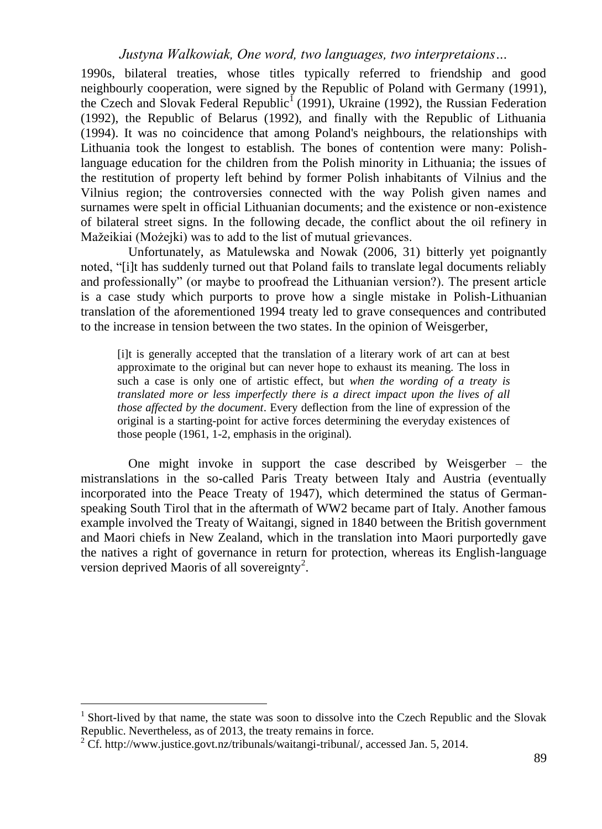1990s, bilateral treaties, whose titles typically referred to friendship and good neighbourly cooperation, were signed by the Republic of Poland with Germany (1991), the Czech and Slovak Federal Republic<sup>1</sup> (1991), Ukraine (1992), the Russian Federation (1992), the Republic of Belarus (1992), and finally with the Republic of Lithuania (1994). It was no coincidence that among Poland's neighbours, the relationships with Lithuania took the longest to establish. The bones of contention were many: Polishlanguage education for the children from the Polish minority in Lithuania; the issues of the restitution of property left behind by former Polish inhabitants of Vilnius and the Vilnius region; the controversies connected with the way Polish given names and surnames were spelt in official Lithuanian documents; and the existence or non-existence of bilateral street signs. In the following decade, the conflict about the oil refinery in Mažeikiai (Możejki) was to add to the list of mutual grievances.

Unfortunately, as Matulewska and Nowak (2006, 31) bitterly yet poignantly noted, "[i]t has suddenly turned out that Poland fails to translate legal documents reliably and professionally" (or maybe to proofread the Lithuanian version?). The present article is a case study which purports to prove how a single mistake in Polish-Lithuanian translation of the aforementioned 1994 treaty led to grave consequences and contributed to the increase in tension between the two states. In the opinion of Weisgerber,

[i]t is generally accepted that the translation of a literary work of art can at best approximate to the original but can never hope to exhaust its meaning. The loss in such a case is only one of artistic effect, but *when the wording of a treaty is translated more or less imperfectly there is a direct impact upon the lives of all those affected by the document*. Every deflection from the line of expression of the original is a starting-point for active forces determining the everyday existences of those people (1961, 1-2, emphasis in the original).

One might invoke in support the case described by Weisgerber – the mistranslations in the so-called Paris Treaty between Italy and Austria (eventually incorporated into the Peace Treaty of 1947), which determined the status of Germanspeaking South Tirol that in the aftermath of WW2 became part of Italy. Another famous example involved the Treaty of Waitangi, signed in 1840 between the British government and Maori chiefs in New Zealand, which in the translation into Maori purportedly gave the natives a right of governance in return for protection, whereas its English-language version deprived Maoris of all sovereignty<sup>2</sup>.

<sup>&</sup>lt;sup>1</sup> Short-lived by that name, the state was soon to dissolve into the Czech Republic and the Slovak Republic. Nevertheless, as of 2013, the treaty remains in force.

 $2 \text{ Cf. }$  http://www.justice.govt.nz/tribunals/waitangi-tribunal/, accessed Jan. 5, 2014.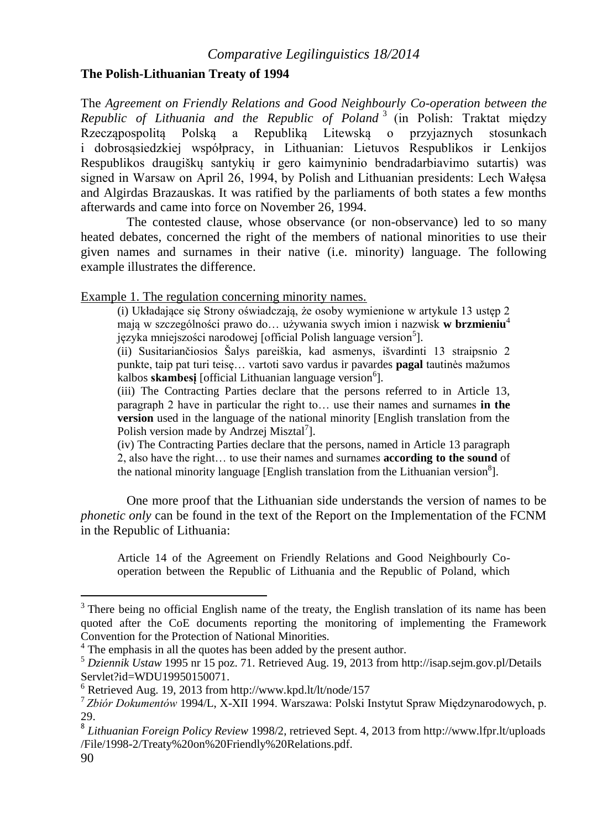## **The Polish-Lithuanian Treaty of 1994**

The *Agreement on Friendly Relations and Good Neighbourly Co-operation between the Republic of Lithuania and the Republic of Poland* <sup>3</sup> (in Polish: Traktat między Rzecząpospolitą Polską a Republiką Litewską o przyjaznych stosunkach i dobrosąsiedzkiej współpracy, in Lithuanian: Lietuvos Respublikos ir Lenkijos Respublikos draugiškų santykių ir gero kaimyninio bendradarbiavimo sutartis) was signed in Warsaw on April 26, 1994, by Polish and Lithuanian presidents: Lech Wałęsa and Algirdas Brazauskas. It was ratified by the parliaments of both states a few months afterwards and came into force on November 26, 1994.

The contested clause, whose observance (or non-observance) led to so many heated debates, concerned the right of the members of national minorities to use their given names and surnames in their native (i.e. minority) language. The following example illustrates the difference.

Example 1. The regulation concerning minority names.

(i) Układające się Strony oświadczają, że osoby wymienione w artykule 13 ustęp 2 mają w szczególności prawo do… używania swych imion i nazwisk **w brzmieniu**<sup>4</sup> języka mniejszości narodowej [official Polish language version<sup>5</sup>].

(ii) Susitariančiosios Šalys pareiškia, kad asmenys, išvardinti 13 straipsnio 2 punkte, taip pat turi teisę… vartoti savo vardus ir pavardes **pagal** tautinės mažumos kalbos skambesį [official Lithuanian language version<sup>6</sup>].

(iii) The Contracting Parties declare that the persons referred to in Article 13, paragraph 2 have in particular the right to… use their names and surnames **in the version** used in the language of the national minority [English translation from the Polish version made by Andrzej Misztal<sup>7</sup>].

(iv) The Contracting Parties declare that the persons, named in Article 13 paragraph 2, also have the right… to use their names and surnames **according to the sound** of the national minority language [English translation from the Lithuanian version<sup>8</sup>].

One more proof that the Lithuanian side understands the version of names to be *phonetic only* can be found in the text of the Report on the Implementation of the FCNM in the Republic of Lithuania:

Article 14 of the Agreement on Friendly Relations and Good Neighbourly Cooperation between the Republic of Lithuania and the Republic of Poland, which

 $3$  There being no official English name of the treaty, the English translation of its name has been quoted after the CoE documents reporting the monitoring of implementing the Framework Convention for the Protection of National Minorities.

<sup>&</sup>lt;sup>4</sup> The emphasis in all the quotes has been added by the present author.

<sup>5</sup> *Dziennik Ustaw* 1995 nr 15 poz. 71. Retrieved Aug. 19, 2013 from http://isap.sejm.gov.pl/Details Servlet?id=WDU19950150071.

<sup>6</sup> Retrieved Aug. 19, 2013 from http://www.kpd.lt/lt/node/157

<sup>7</sup> *Zbiór Dokumentów* 1994/L, X-XII 1994. Warszawa: Polski Instytut Spraw Międzynarodowych, p. 29.

<sup>8</sup> *Lithuanian Foreign Policy Review* 1998/2, retrieved Sept. 4, 2013 from http://www.lfpr.lt/uploads /File/1998-2/Treaty%20on%20Friendly%20Relations.pdf.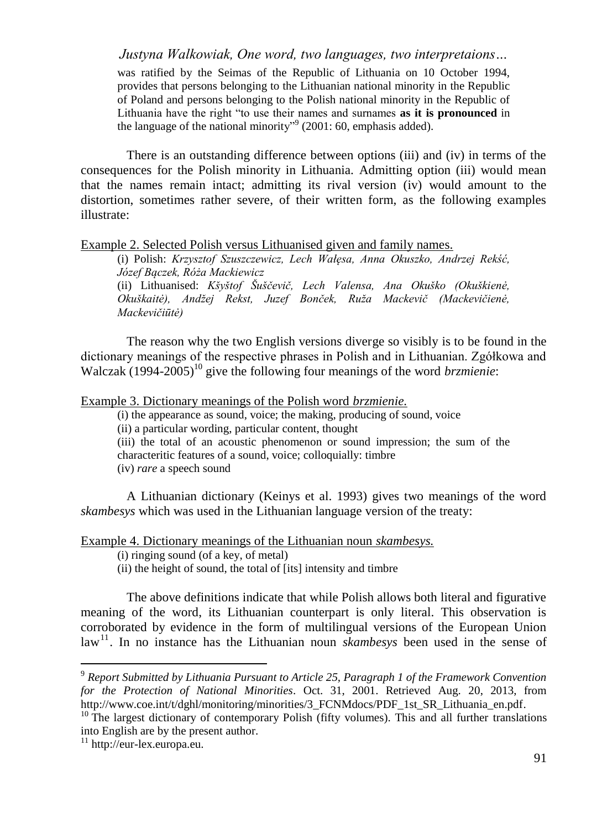was ratified by the Seimas of the Republic of Lithuania on 10 October 1994, provides that persons belonging to the Lithuanian national minority in the Republic of Poland and persons belonging to the Polish national minority in the Republic of Lithuania have the right "to use their names and surnames **as it is pronounced** in the language of the national minority"<sup>9</sup> (2001: 60, emphasis added).

There is an outstanding difference between options (iii) and (iv) in terms of the consequences for the Polish minority in Lithuania. Admitting option (iii) would mean that the names remain intact; admitting its rival version (iv) would amount to the distortion, sometimes rather severe, of their written form, as the following examples illustrate:

#### Example 2. Selected Polish versus Lithuanised given and family names.

(i) Polish: *Krzysztof Szuszczewicz, Lech Wałęsa, Anna Okuszko, Andrzej Rekść, Józef Bączek, Róża Mackiewicz*

(ii) Lithuanised: *Kšyštof Šuščevič, Lech Valensa, Ana Okuško (Okuškienė, Okuškaitė), Andžej Rekst, Juzef Bonček, Ruža Mackevič (Mackevičienė, Mackevičiūtė)*

The reason why the two English versions diverge so visibly is to be found in the dictionary meanings of the respective phrases in Polish and in Lithuanian. Zgółkowa and Walczak (1994-2005)<sup>10</sup> give the following four meanings of the word *brzmienie*:

Example 3. Dictionary meanings of the Polish word *brzmienie.*

(i) the appearance as sound, voice; the making, producing of sound, voice

(ii) a particular wording, particular content, thought

(iii) the total of an acoustic phenomenon or sound impression; the sum of the characteritic features of a sound, voice; colloquially: timbre

(iv) *rare* a speech sound

A Lithuanian dictionary (Keinys et al. 1993) gives two meanings of the word *skambesys* which was used in the Lithuanian language version of the treaty:

### Example 4. Dictionary meanings of the Lithuanian noun *skambesys.*

- (i) ringing sound (of a key, of metal)
- (ii) the height of sound, the total of [its] intensity and timbre

The above definitions indicate that while Polish allows both literal and figurative meaning of the word, its Lithuanian counterpart is only literal. This observation is corroborated by evidence in the form of multilingual versions of the European Union  $\text{law}^{\text{11}}$ . In no instance has the Lithuanian noun *skambesys* been used in the sense of

<sup>9</sup> *Report Submitted by Lithuania Pursuant to Article 25, Paragraph 1 of the Framework Convention for the Protection of National Minorities*. Oct. 31, 2001. Retrieved Aug. 20, 2013, from http://www.coe.int/t/dghl/monitoring/minorities/3\_FCNMdocs/PDF\_1st\_SR\_Lithuania\_en.pdf.

 $10$  The largest dictionary of contemporary Polish (fifty volumes). This and all further translations into English are by the present author.

<sup>11</sup> http://eur-lex.europa.eu.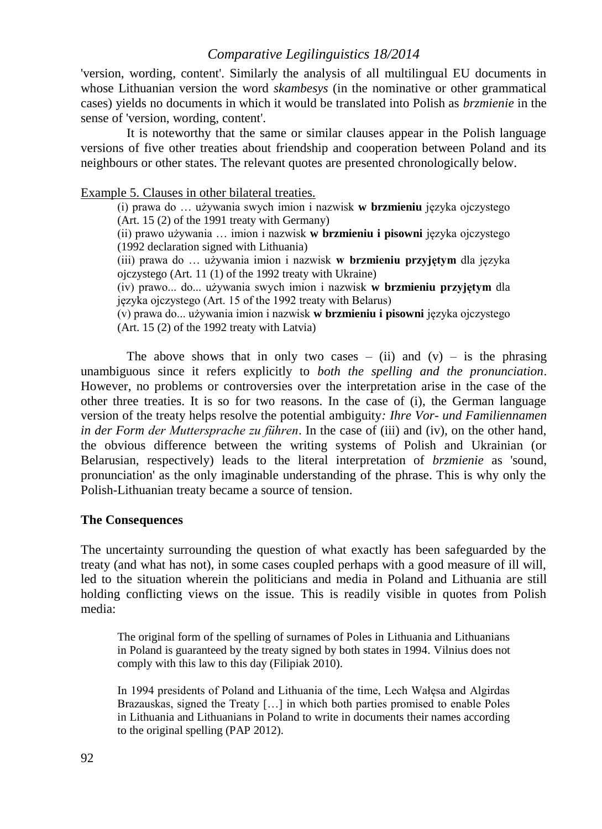'version, wording, content'. Similarly the analysis of all multilingual EU documents in whose Lithuanian version the word *skambesys* (in the nominative or other grammatical cases) yields no documents in which it would be translated into Polish as *brzmienie* in the sense of 'version, wording, content'.

It is noteworthy that the same or similar clauses appear in the Polish language versions of five other treaties about friendship and cooperation between Poland and its neighbours or other states. The relevant quotes are presented chronologically below.

Example 5. Clauses in other bilateral treaties.

(i) prawa do … używania swych imion i nazwisk **w brzmieniu** języka ojczystego (Art. 15 (2) of the 1991 treaty with Germany)

(ii) prawo używania … imion i nazwisk **w brzmieniu i pisowni** języka ojczystego (1992 declaration signed with Lithuania)

(iii) prawa do … używania imion i nazwisk **w brzmieniu przyjętym** dla języka ojczystego (Art. 11 (1) of the 1992 treaty with Ukraine)

(iv) prawo... do... używania swych imion i nazwisk **w brzmieniu przyjętym** dla języka ojczystego (Art. 15 of the 1992 treaty with Belarus)

(v) prawa do... używania imion i nazwisk **w brzmieniu i pisowni** języka ojczystego (Art. 15 (2) of the 1992 treaty with Latvia)

The above shows that in only two cases – (ii) and (v) – is the phrasing unambiguous since it refers explicitly to *both the spelling and the pronunciation*. However, no problems or controversies over the interpretation arise in the case of the other three treaties. It is so for two reasons. In the case of (i), the German language version of the treaty helps resolve the potential ambiguity*: Ihre Vor- und Familiennamen in der Form der Muttersprache zu führen*. In the case of (iii) and (iv), on the other hand, the obvious difference between the writing systems of Polish and Ukrainian (or Belarusian, respectively) leads to the literal interpretation of *brzmienie* as 'sound, pronunciation' as the only imaginable understanding of the phrase. This is why only the Polish-Lithuanian treaty became a source of tension.

#### **The Consequences**

The uncertainty surrounding the question of what exactly has been safeguarded by the treaty (and what has not), in some cases coupled perhaps with a good measure of ill will, led to the situation wherein the politicians and media in Poland and Lithuania are still holding conflicting views on the issue. This is readily visible in quotes from Polish media:

The original form of the spelling of surnames of Poles in Lithuania and Lithuanians in Poland is guaranteed by the treaty signed by both states in 1994. Vilnius does not comply with this law to this day (Filipiak 2010).

In 1994 presidents of Poland and Lithuania of the time, Lech Wałęsa and Algirdas Brazauskas, signed the Treaty […] in which both parties promised to enable Poles in Lithuania and Lithuanians in Poland to write in documents their names according to the original spelling (PAP 2012).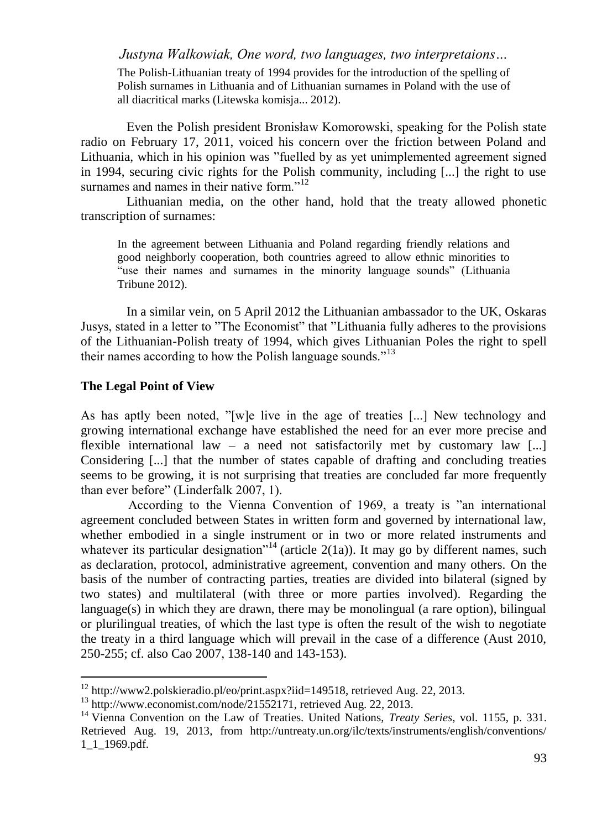The Polish-Lithuanian treaty of 1994 provides for the introduction of the spelling of Polish surnames in Lithuania and of Lithuanian surnames in Poland with the use of all diacritical marks (Litewska komisja... 2012).

Even the Polish president Bronisław Komorowski, speaking for the Polish state radio on February 17, 2011, voiced his concern over the friction between Poland and Lithuania, which in his opinion was "fuelled by as yet unimplemented agreement signed in 1994, securing civic rights for the Polish community, including [...] the right to use surnames and names in their native form."<sup>12</sup>

Lithuanian media, on the other hand, hold that the treaty allowed phonetic transcription of surnames:

In the agreement between Lithuania and Poland regarding friendly relations and good neighborly cooperation, both countries agreed to allow ethnic minorities to "use their names and surnames in the minority language sounds" (Lithuania Tribune 2012).

In a similar vein, on 5 April 2012 the Lithuanian ambassador to the UK, Oskaras Jusys, stated in a letter to "The Economist" that "Lithuania fully adheres to the provisions of the Lithuanian-Polish treaty of 1994, which gives Lithuanian Poles the right to spell their names according to how the Polish language sounds."<sup>13</sup>

#### **The Legal Point of View**

 $\overline{a}$ 

As has aptly been noted, "[w]e live in the age of treaties [...] New technology and growing international exchange have established the need for an ever more precise and flexible international law – a need not satisfactorily met by customary law [...] Considering [...] that the number of states capable of drafting and concluding treaties seems to be growing, it is not surprising that treaties are concluded far more frequently than ever before" (Linderfalk 2007, 1).

According to the Vienna Convention of 1969, a treaty is "an international agreement concluded between States in written form and governed by international law, whether embodied in a single instrument or in two or more related instruments and whatever its particular designation<sup>"14</sup> (article 2(1a)). It may go by different names, such as declaration, protocol, administrative agreement, convention and many others. On the basis of the number of contracting parties, treaties are divided into bilateral (signed by two states) and multilateral (with three or more parties involved). Regarding the language(s) in which they are drawn, there may be monolingual (a rare option), bilingual or plurilingual treaties, of which the last type is often the result of the wish to negotiate the treaty in a third language which will prevail in the case of a difference (Aust 2010, 250-255; cf. also Cao 2007, 138-140 and 143-153).

 $12 \text{ http://www2.polskieradio.pl/eo/print.aspx?iid=149518, retrieved Aug. 22, 2013.$ 

 $13$  http://www.economist.com/node/21552171, retrieved Aug. 22, 2013.

<sup>14</sup> Vienna Convention on the Law of Treaties. United Nations, *Treaty Series,* vol. 1155, p. 331. Retrieved Aug. 19, 2013, from http://untreaty.un.org/ilc/texts/instruments/english/conventions/ 1\_1\_1969.pdf.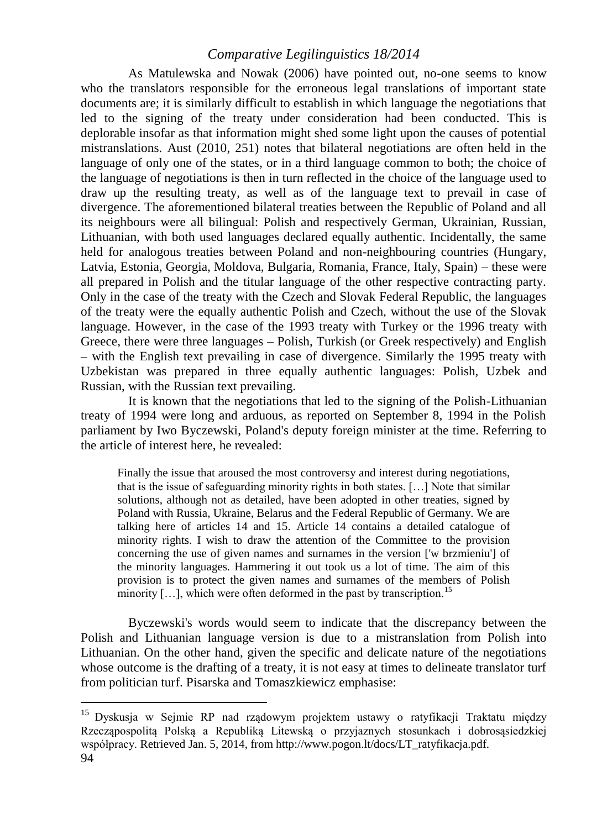As Matulewska and Nowak (2006) have pointed out, no-one seems to know who the translators responsible for the erroneous legal translations of important state documents are; it is similarly difficult to establish in which language the negotiations that led to the signing of the treaty under consideration had been conducted. This is deplorable insofar as that information might shed some light upon the causes of potential mistranslations. Aust (2010, 251) notes that bilateral negotiations are often held in the language of only one of the states, or in a third language common to both; the choice of the language of negotiations is then in turn reflected in the choice of the language used to draw up the resulting treaty, as well as of the language text to prevail in case of divergence. The aforementioned bilateral treaties between the Republic of Poland and all its neighbours were all bilingual: Polish and respectively German, Ukrainian, Russian, Lithuanian, with both used languages declared equally authentic. Incidentally, the same held for analogous treaties between Poland and non-neighbouring countries (Hungary, Latvia, Estonia, Georgia, Moldova, Bulgaria, Romania, France, Italy, Spain) – these were all prepared in Polish and the titular language of the other respective contracting party. Only in the case of the treaty with the Czech and Slovak Federal Republic, the languages of the treaty were the equally authentic Polish and Czech, without the use of the Slovak language. However, in the case of the 1993 treaty with Turkey or the 1996 treaty with Greece, there were three languages – Polish, Turkish (or Greek respectively) and English – with the English text prevailing in case of divergence. Similarly the 1995 treaty with Uzbekistan was prepared in three equally authentic languages: Polish, Uzbek and Russian, with the Russian text prevailing.

It is known that the negotiations that led to the signing of the Polish-Lithuanian treaty of 1994 were long and arduous, as reported on September 8, 1994 in the Polish parliament by Iwo Byczewski, Poland's deputy foreign minister at the time. Referring to the article of interest here, he revealed:

Finally the issue that aroused the most controversy and interest during negotiations, that is the issue of safeguarding minority rights in both states. […] Note that similar solutions, although not as detailed, have been adopted in other treaties, signed by Poland with Russia, Ukraine, Belarus and the Federal Republic of Germany. We are talking here of articles 14 and 15. Article 14 contains a detailed catalogue of minority rights. I wish to draw the attention of the Committee to the provision concerning the use of given names and surnames in the version ['w brzmieniu'] of the minority languages. Hammering it out took us a lot of time. The aim of this provision is to protect the given names and surnames of the members of Polish minority  $[\,\ldots]$ , which were often deformed in the past by transcription.<sup>15</sup>

Byczewski's words would seem to indicate that the discrepancy between the Polish and Lithuanian language version is due to a mistranslation from Polish into Lithuanian. On the other hand, given the specific and delicate nature of the negotiations whose outcome is the drafting of a treaty, it is not easy at times to delineate translator turf from politician turf. Pisarska and Tomaszkiewicz emphasise:

<sup>94</sup> <sup>15</sup> Dyskusja w Sejmie RP nad rządowym projektem ustawy o ratyfikacji Traktatu między Rzecząpospolitą Polską a Republiką Litewską o przyjaznych stosunkach i dobrosąsiedzkiej współpracy. Retrieved Jan. 5, 2014, from http://www.pogon.lt/docs/LT\_ratyfikacja.pdf.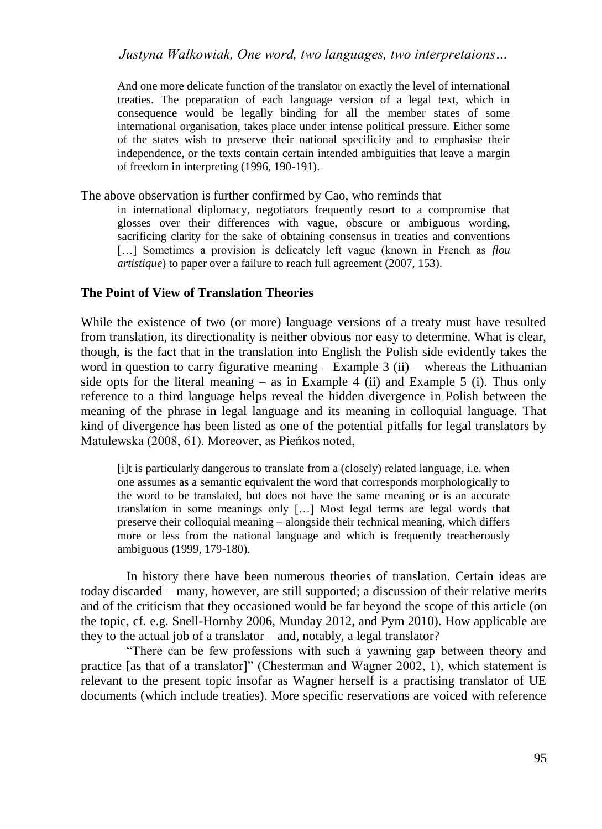And one more delicate function of the translator on exactly the level of international treaties. The preparation of each language version of a legal text, which in consequence would be legally binding for all the member states of some international organisation, takes place under intense political pressure. Either some of the states wish to preserve their national specificity and to emphasise their independence, or the texts contain certain intended ambiguities that leave a margin of freedom in interpreting (1996, 190-191).

The above observation is further confirmed by Cao, who reminds that

in international diplomacy, negotiators frequently resort to a compromise that glosses over their differences with vague, obscure or ambiguous wording, sacrificing clarity for the sake of obtaining consensus in treaties and conventions [...] Sometimes a provision is delicately left vague (known in French as *flou artistique*) to paper over a failure to reach full agreement (2007, 153).

#### **The Point of View of Translation Theories**

While the existence of two (or more) language versions of a treaty must have resulted from translation, its directionality is neither obvious nor easy to determine. What is clear, though, is the fact that in the translation into English the Polish side evidently takes the word in question to carry figurative meaning  $-$  Example 3 (ii)  $-$  whereas the Lithuanian side opts for the literal meaning  $-$  as in Example 4 (ii) and Example 5 (i). Thus only reference to a third language helps reveal the hidden divergence in Polish between the meaning of the phrase in legal language and its meaning in colloquial language. That kind of divergence has been listed as one of the potential pitfalls for legal translators by Matulewska (2008, 61). Moreover, as Pieńkos noted,

[i]t is particularly dangerous to translate from a (closely) related language, i.e. when one assumes as a semantic equivalent the word that corresponds morphologically to the word to be translated, but does not have the same meaning or is an accurate translation in some meanings only […] Most legal terms are legal words that preserve their colloquial meaning – alongside their technical meaning, which differs more or less from the national language and which is frequently treacherously ambiguous (1999, 179-180).

In history there have been numerous theories of translation. Certain ideas are today discarded – many, however, are still supported; a discussion of their relative merits and of the criticism that they occasioned would be far beyond the scope of this article (on the topic, cf. e.g. Snell-Hornby 2006, Munday 2012, and Pym 2010). How applicable are they to the actual job of a translator – and, notably, a legal translator?

"There can be few professions with such a yawning gap between theory and practice [as that of a translator]" (Chesterman and Wagner 2002, 1), which statement is relevant to the present topic insofar as Wagner herself is a practising translator of UE documents (which include treaties). More specific reservations are voiced with reference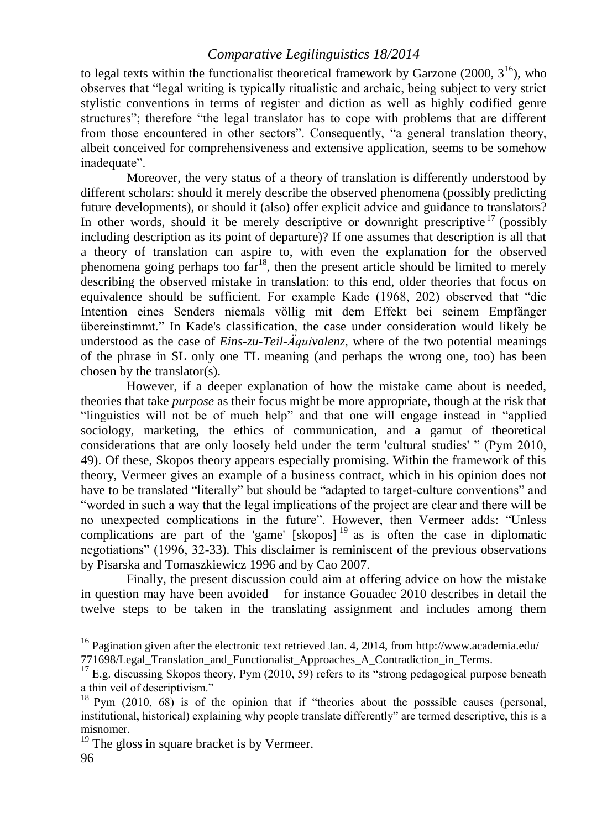to legal texts within the functionalist theoretical framework by Garzone (2000,  $3^{16}$ ), who observes that "legal writing is typically ritualistic and archaic, being subject to very strict stylistic conventions in terms of register and diction as well as highly codified genre structures"; therefore "the legal translator has to cope with problems that are different from those encountered in other sectors". Consequently, "a general translation theory, albeit conceived for comprehensiveness and extensive application, seems to be somehow inadequate".

Moreover, the very status of a theory of translation is differently understood by different scholars: should it merely describe the observed phenomena (possibly predicting future developments), or should it (also) offer explicit advice and guidance to translators? In other words, should it be merely descriptive or downright prescriptive  $17$  (possibly including description as its point of departure)? If one assumes that description is all that a theory of translation can aspire to, with even the explanation for the observed phenomena going perhaps too  $far^{18}$ , then the present article should be limited to merely describing the observed mistake in translation: to this end, older theories that focus on equivalence should be sufficient. For example Kade (1968, 202) observed that "die Intention eines Senders niemals völlig mit dem Effekt bei seinem Empfänger übereinstimmt." In Kade's classification, the case under consideration would likely be understood as the case of *Eins-zu-Teil-Äquivalenz*, where of the two potential meanings of the phrase in SL only one TL meaning (and perhaps the wrong one, too) has been chosen by the translator(s).

However, if a deeper explanation of how the mistake came about is needed, theories that take *purpose* as their focus might be more appropriate, though at the risk that "linguistics will not be of much help" and that one will engage instead in "applied sociology, marketing, the ethics of communication, and a gamut of theoretical considerations that are only loosely held under the term 'cultural studies' " (Pym 2010, 49). Of these, Skopos theory appears especially promising. Within the framework of this theory, Vermeer gives an example of a business contract, which in his opinion does not have to be translated "literally" but should be "adapted to target-culture conventions" and "worded in such a way that the legal implications of the project are clear and there will be no unexpected complications in the future". However, then Vermeer adds: "Unless complications are part of the 'game'  $[skopos]$ <sup>19</sup> as is often the case in diplomatic negotiations" (1996, 32-33). This disclaimer is reminiscent of the previous observations by Pisarska and Tomaszkiewicz 1996 and by Cao 2007.

Finally, the present discussion could aim at offering advice on how the mistake in question may have been avoided – for instance Gouadec 2010 describes in detail the twelve steps to be taken in the translating assignment and includes among them

<sup>&</sup>lt;sup>16</sup> Pagination given after the electronic text retrieved Jan. 4, 2014, from http://www.academia.edu/ 771698/Legal Translation and Functionalist Approaches A Contradiction in Terms.

 $17$  E.g. discussing Skopos theory, Pym (2010, 59) refers to its "strong pedagogical purpose beneath a thin veil of descriptivism."

<sup>&</sup>lt;sup>18</sup> Pym (2010, 68) is of the opinion that if "theories about the posssible causes (personal, institutional, historical) explaining why people translate differently" are termed descriptive, this is a misnomer.

 $19$  The gloss in square bracket is by Vermeer.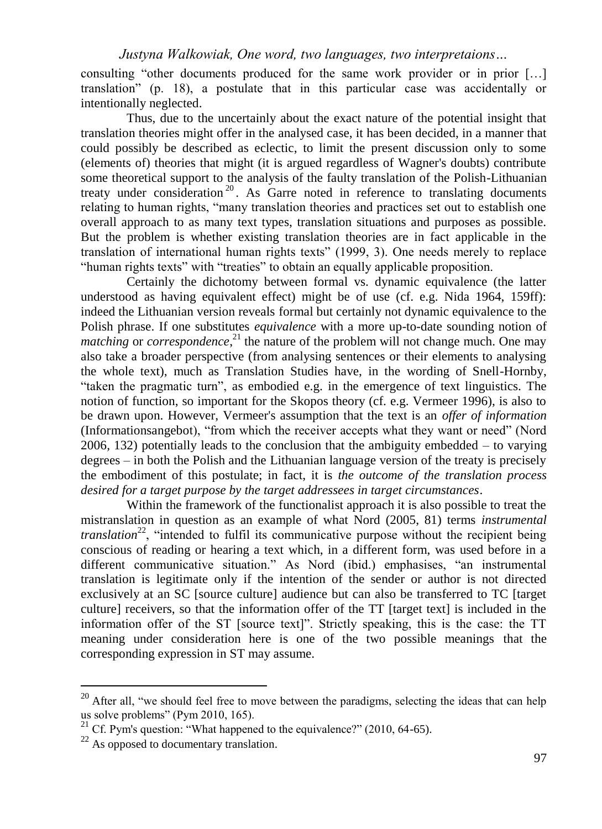consulting "other documents produced for the same work provider or in prior […] translation" (p. 18), a postulate that in this particular case was accidentally or intentionally neglected.

Thus, due to the uncertainly about the exact nature of the potential insight that translation theories might offer in the analysed case, it has been decided, in a manner that could possibly be described as eclectic, to limit the present discussion only to some (elements of) theories that might (it is argued regardless of Wagner's doubts) contribute some theoretical support to the analysis of the faulty translation of the Polish-Lithuanian treaty under consideration<sup>20</sup>. As Garre noted in reference to translating documents relating to human rights, "many translation theories and practices set out to establish one overall approach to as many text types, translation situations and purposes as possible. But the problem is whether existing translation theories are in fact applicable in the translation of international human rights texts" (1999, 3). One needs merely to replace "human rights texts" with "treaties" to obtain an equally applicable proposition.

Certainly the dichotomy between formal vs. dynamic equivalence (the latter understood as having equivalent effect) might be of use (cf. e.g. Nida 1964, 159ff): indeed the Lithuanian version reveals formal but certainly not dynamic equivalence to the Polish phrase. If one substitutes *equivalence* with a more up-to-date sounding notion of *matching* or *correspondence*<sup>21</sup> the nature of the problem will not change much. One may also take a broader perspective (from analysing sentences or their elements to analysing the whole text), much as Translation Studies have, in the wording of Snell-Hornby, "taken the pragmatic turn", as embodied e.g. in the emergence of text linguistics. The notion of function, so important for the Skopos theory (cf. e.g. Vermeer 1996), is also to be drawn upon. However, Vermeer's assumption that the text is an *offer of information* (Informationsangebot), "from which the receiver accepts what they want or need" (Nord 2006, 132) potentially leads to the conclusion that the ambiguity embedded – to varying degrees – in both the Polish and the Lithuanian language version of the treaty is precisely the embodiment of this postulate; in fact, it is *the outcome of the translation process desired for a target purpose by the target addressees in target circumstances*.

Within the framework of the functionalist approach it is also possible to treat the mistranslation in question as an example of what Nord (2005, 81) terms *instrumental translation*<sup>22</sup>, "intended to fulfil its communicative purpose without the recipient being conscious of reading or hearing a text which, in a different form, was used before in a different communicative situation." As Nord (ibid.) emphasises, "an instrumental translation is legitimate only if the intention of the sender or author is not directed exclusively at an SC [source culture] audience but can also be transferred to TC [target culture] receivers, so that the information offer of the TT [target text] is included in the information offer of the ST [source text]". Strictly speaking, this is the case: the TT meaning under consideration here is one of the two possible meanings that the corresponding expression in ST may assume.

 $20$  After all, "we should feel free to move between the paradigms, selecting the ideas that can help us solve problems" (Pym 2010, 165).

<sup>&</sup>lt;sup>21</sup> Cf. Pym's question: "What happened to the equivalence?" (2010, 64-65).

 $22$  As opposed to documentary translation.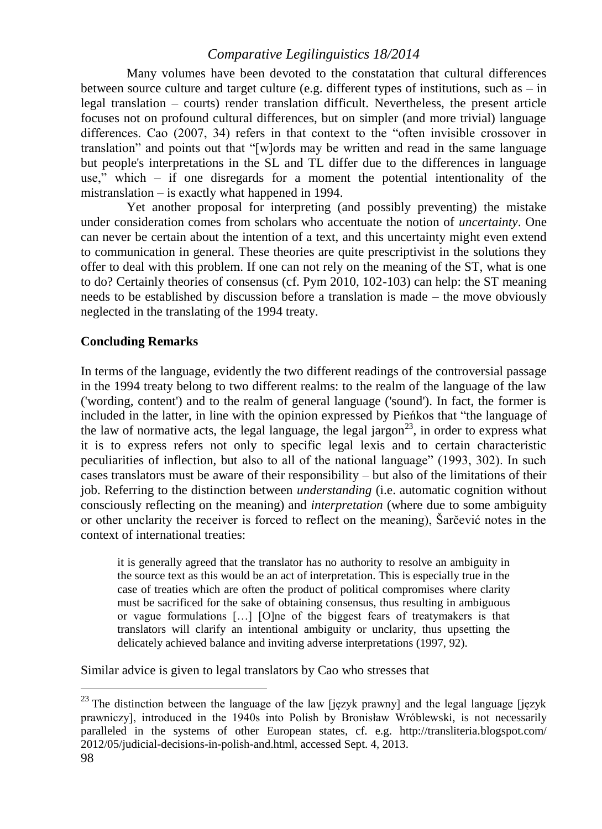Many volumes have been devoted to the constatation that cultural differences between source culture and target culture (e.g. different types of institutions, such as  $-$  in legal translation – courts) render translation difficult. Nevertheless, the present article focuses not on profound cultural differences, but on simpler (and more trivial) language differences. Cao (2007, 34) refers in that context to the "often invisible crossover in translation" and points out that "[w]ords may be written and read in the same language but people's interpretations in the SL and TL differ due to the differences in language use," which – if one disregards for a moment the potential intentionality of the mistranslation – is exactly what happened in 1994.

Yet another proposal for interpreting (and possibly preventing) the mistake under consideration comes from scholars who accentuate the notion of *uncertainty*. One can never be certain about the intention of a text, and this uncertainty might even extend to communication in general. These theories are quite prescriptivist in the solutions they offer to deal with this problem. If one can not rely on the meaning of the ST, what is one to do? Certainly theories of consensus (cf. Pym 2010, 102-103) can help: the ST meaning needs to be established by discussion before a translation is made – the move obviously neglected in the translating of the 1994 treaty.

## **Concluding Remarks**

In terms of the language, evidently the two different readings of the controversial passage in the 1994 treaty belong to two different realms: to the realm of the language of the law ('wording, content') and to the realm of general language ('sound'). In fact, the former is included in the latter, in line with the opinion expressed by Pieńkos that "the language of the law of normative acts, the legal language, the legal jargon<sup>23</sup>, in order to express what it is to express refers not only to specific legal lexis and to certain characteristic peculiarities of inflection, but also to all of the national language" (1993, 302). In such cases translators must be aware of their responsibility – but also of the limitations of their job. Referring to the distinction between *understanding* (i.e. automatic cognition without consciously reflecting on the meaning) and *interpretation* (where due to some ambiguity or other unclarity the receiver is forced to reflect on the meaning), Šarčević notes in the context of international treaties:

it is generally agreed that the translator has no authority to resolve an ambiguity in the source text as this would be an act of interpretation. This is especially true in the case of treaties which are often the product of political compromises where clarity must be sacrificed for the sake of obtaining consensus, thus resulting in ambiguous or vague formulations […] [O]ne of the biggest fears of treatymakers is that translators will clarify an intentional ambiguity or unclarity, thus upsetting the delicately achieved balance and inviting adverse interpretations (1997, 92).

Similar advice is given to legal translators by Cao who stresses that

<sup>&</sup>lt;sup>23</sup> The distinction between the language of the law [język prawny] and the legal language [język] prawniczy], introduced in the 1940s into Polish by Bronisław Wróblewski, is not necessarily paralleled in the systems of other European states, cf. e.g. http://transliteria.blogspot.com/ 2012/05/judicial-decisions-in-polish-and.html, accessed Sept. 4, 2013.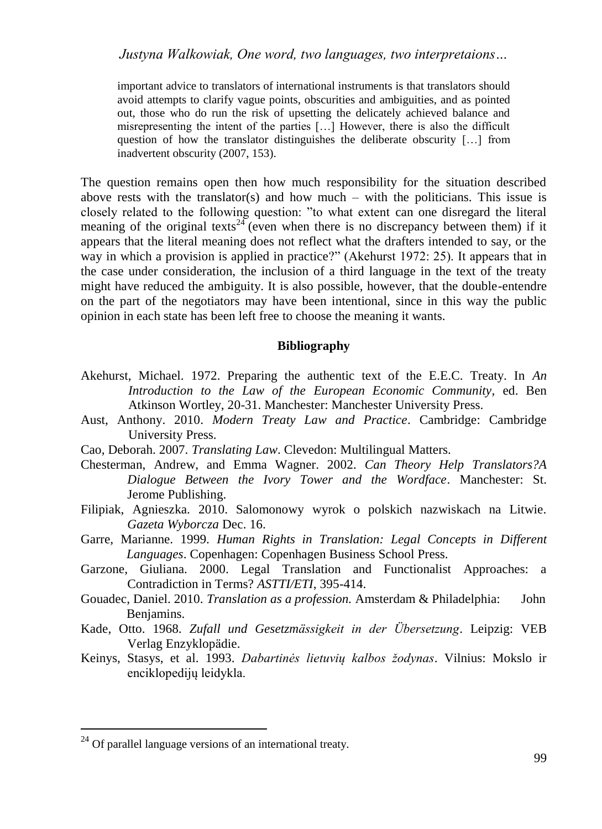important advice to translators of international instruments is that translators should avoid attempts to clarify vague points, obscurities and ambiguities, and as pointed out, those who do run the risk of upsetting the delicately achieved balance and misrepresenting the intent of the parties […] However, there is also the difficult question of how the translator distinguishes the deliberate obscurity […] from inadvertent obscurity (2007, 153).

The question remains open then how much responsibility for the situation described above rests with the translator(s) and how much  $-$  with the politicians. This issue is closely related to the following question: "to what extent can one disregard the literal meaning of the original texts<sup>24</sup> (even when there is no discrepancy between them) if it appears that the literal meaning does not reflect what the drafters intended to say, or the way in which a provision is applied in practice?" (Akehurst 1972: 25). It appears that in the case under consideration, the inclusion of a third language in the text of the treaty might have reduced the ambiguity. It is also possible, however, that the double-entendre on the part of the negotiators may have been intentional, since in this way the public opinion in each state has been left free to choose the meaning it wants.

#### **Bibliography**

- Akehurst, Michael. 1972. Preparing the authentic text of the E.E.C. Treaty. In *An Introduction to the Law of the European Economic Community*, ed. Ben Atkinson Wortley, 20-31. Manchester: Manchester University Press.
- Aust, Anthony. 2010. *Modern Treaty Law and Practice*. Cambridge: Cambridge University Press.
- Cao, Deborah. 2007. *Translating Law*. Clevedon: Multilingual Matters.
- Chesterman, Andrew, and Emma Wagner. 2002. *Can Theory Help Translators?A Dialogue Between the Ivory Tower and the Wordface*. Manchester: St. Jerome Publishing.
- Filipiak, Agnieszka. 2010. Salomonowy wyrok o polskich nazwiskach na Litwie. *Gazeta Wyborcza* Dec. 16.
- Garre, Marianne. 1999. *Human Rights in Translation: Legal Concepts in Different Languages*. Copenhagen: Copenhagen Business School Press.
- Garzone, Giuliana. 2000. Legal Translation and Functionalist Approaches: a Contradiction in Terms? *ASTTI/ETI*, 395-414.
- Gouadec, Daniel. 2010. *Translation as a profession.* Amsterdam & Philadelphia: John Benjamins.
- Kade, Otto. 1968. *Zufall und Gesetzmässigkeit in der Übersetzung*. Leipzig: VEB Verlag Enzyklopädie.
- Keinys, Stasys, et al. 1993. *Dabartinės lietuvių kalbos žodynas*. Vilnius: Mokslo ir enciklopedijų leidykla.

 $24$  Of parallel language versions of an international treaty.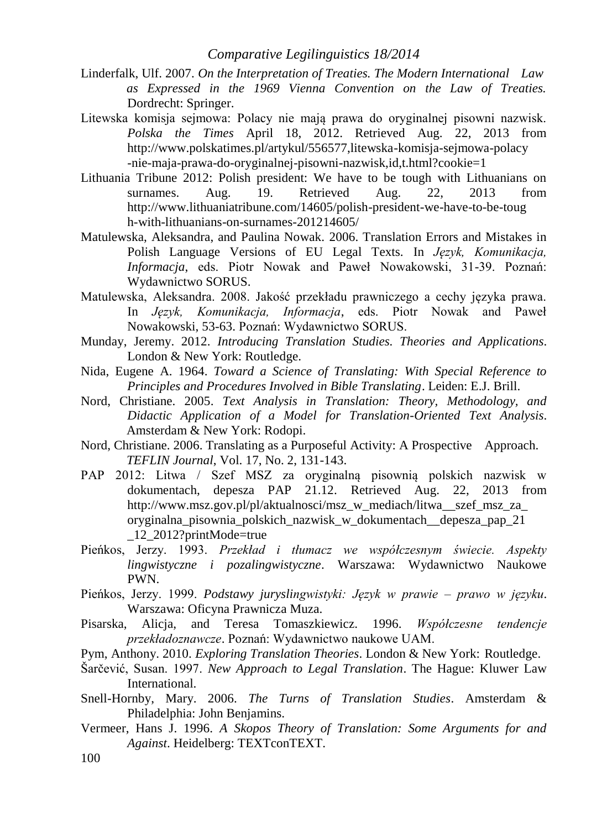- Linderfalk, Ulf. 2007. *On the Interpretation of Treaties. The Modern International Law as Expressed in the 1969 Vienna Convention on the Law of Treaties.* Dordrecht: Springer.
- Litewska komisja sejmowa: Polacy nie mają prawa do oryginalnej pisowni nazwisk. *Polska the Times* April 18, 2012. Retrieved Aug. 22, 2013 from http://www.polskatimes.pl/artykul/556577,litewska-komisja-sejmowa-polacy -nie-maja-prawa-do-oryginalnej-pisowni-nazwisk,id,t.html?cookie=1
- Lithuania Tribune 2012: Polish president: We have to be tough with Lithuanians on surnames. Aug. 19. Retrieved Aug. 22, 2013 from http://www.lithuaniatribune.com/14605/polish-president-we-have-to-be-toug h-with-lithuanians-on-surnames-201214605/
- Matulewska, Aleksandra, and Paulina Nowak. 2006. Translation Errors and Mistakes in Polish Language Versions of EU Legal Texts. In *Język, Komunikacja, Informacja*, eds. Piotr Nowak and Paweł Nowakowski, 31-39. Poznań: Wydawnictwo SORUS.
- Matulewska, Aleksandra. 2008. Jakość przekładu prawniczego a cechy języka prawa. In *Język, Komunikacja, Informacja*, eds. Piotr Nowak and Paweł Nowakowski, 53-63. Poznań: Wydawnictwo SORUS.
- Munday, Jeremy. 2012. *Introducing Translation Studies. Theories and Applications*. London & New York: Routledge.
- Nida, Eugene A. 1964. *Toward a Science of Translating: With Special Reference to Principles and Procedures Involved in Bible Translating*. Leiden: E.J. Brill.
- Nord, Christiane. 2005. *Text Analysis in Translation: Theory, Methodology, and Didactic Application of a Model for Translation-Oriented Text Analysis*. Amsterdam & New York: Rodopi.
- Nord, Christiane. 2006. Translating as a Purposeful Activity: A Prospective Approach. *TEFLIN Journal*, Vol. 17, No. 2, 131-143.
- PAP 2012: Litwa / Szef MSZ za oryginalną pisownią polskich nazwisk w dokumentach, depesza PAP 21.12. Retrieved Aug. 22, 2013 from http://www.msz.gov.pl/pl/aktualnosci/msz\_w\_mediach/litwa\_szef\_msz\_za oryginalna\_pisownia\_polskich\_nazwisk\_w\_dokumentach\_\_depesza\_pap\_21 \_12\_2012?printMode=true
- Pieńkos, Jerzy. 1993. *Przekład i tłumacz we współczesnym świecie. Aspekty lingwistyczne i pozalingwistyczne*. Warszawa: Wydawnictwo Naukowe PWN.
- Pieńkos, Jerzy. 1999. *Podstawy juryslingwistyki: Język w prawie – prawo w języku*. Warszawa: Oficyna Prawnicza Muza.
- Pisarska, Alicja, and Teresa Tomaszkiewicz. 1996. *Współczesne tendencje przekładoznawcze*. Poznań: Wydawnictwo naukowe UAM.
- Pym, Anthony. 2010. *Exploring Translation Theories*. London & New York: Routledge.
- Šarčević, Susan. 1997. *New Approach to Legal Translation*. The Hague: Kluwer Law **International**
- Snell-Hornby, Mary. 2006. *The Turns of Translation Studies*. Amsterdam & Philadelphia: John Benjamins.
- Vermeer, Hans J. 1996. *A Skopos Theory of Translation: Some Arguments for and Against*. Heidelberg: TEXTconTEXT.
- 100